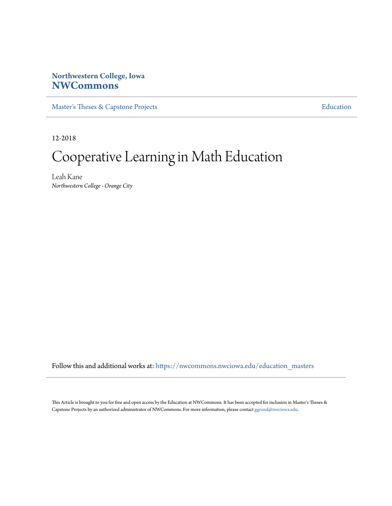# **Northwestern College, Iowa [NWCommons](https://nwcommons.nwciowa.edu?utm_source=nwcommons.nwciowa.edu%2Feducation_masters%2F98&utm_medium=PDF&utm_campaign=PDFCoverPages)**

[Master's Theses & Capstone Projects](https://nwcommons.nwciowa.edu/education_masters?utm_source=nwcommons.nwciowa.edu%2Feducation_masters%2F98&utm_medium=PDF&utm_campaign=PDFCoverPages) **[Education](https://nwcommons.nwciowa.edu/education?utm_source=nwcommons.nwciowa.edu%2Feducation_masters%2F98&utm_medium=PDF&utm_campaign=PDFCoverPages)** 

12-2018

# Cooperative Learning in Math Education

Leah Kane *Northwestern College - Orange City*

Follow this and additional works at: [https://nwcommons.nwciowa.edu/education\\_masters](https://nwcommons.nwciowa.edu/education_masters?utm_source=nwcommons.nwciowa.edu%2Feducation_masters%2F98&utm_medium=PDF&utm_campaign=PDFCoverPages)

This Article is brought to you for free and open access by the Education at NWCommons. It has been accepted for inclusion in Master's Theses & Capstone Projects by an authorized administrator of NWCommons. For more information, please contact [ggrond@nwciowa.edu.](mailto:ggrond@nwciowa.edu)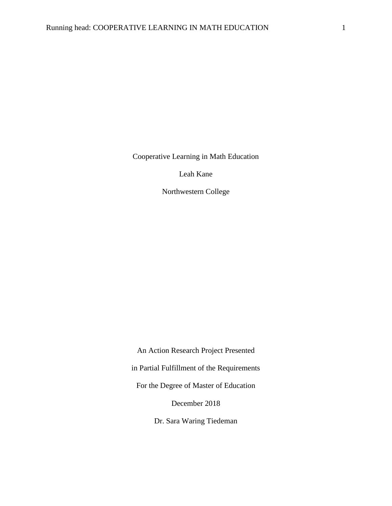Cooperative Learning in Math Education

Leah Kane

Northwestern College

An Action Research Project Presented in Partial Fulfillment of the Requirements For the Degree of Master of Education December 2018

Dr. Sara Waring Tiedeman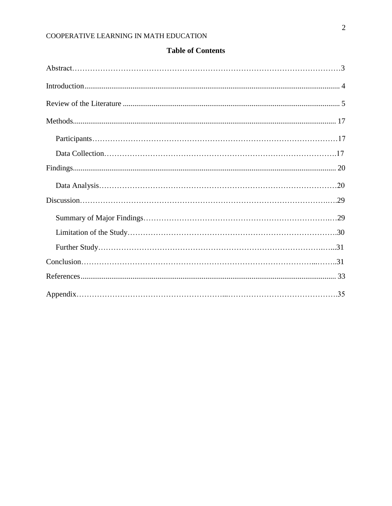## **Table of Contents**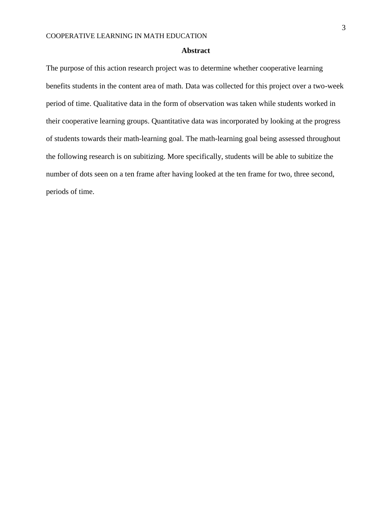#### **Abstract**

The purpose of this action research project was to determine whether cooperative learning benefits students in the content area of math. Data was collected for this project over a two-week period of time. Qualitative data in the form of observation was taken while students worked in their cooperative learning groups. Quantitative data was incorporated by looking at the progress of students towards their math-learning goal. The math-learning goal being assessed throughout the following research is on subitizing. More specifically, students will be able to subitize the number of dots seen on a ten frame after having looked at the ten frame for two, three second, periods of time.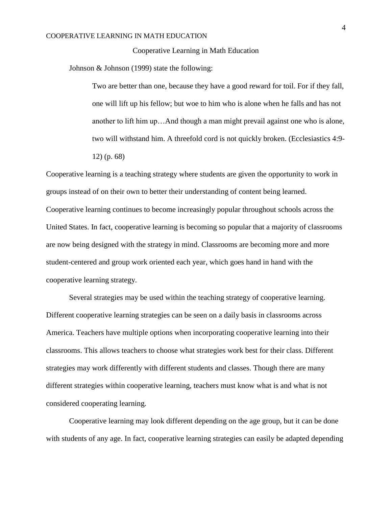Cooperative Learning in Math Education

Johnson & Johnson (1999) state the following:

Two are better than one, because they have a good reward for toil. For if they fall, one will lift up his fellow; but woe to him who is alone when he falls and has not another to lift him up…And though a man might prevail against one who is alone, two will withstand him. A threefold cord is not quickly broken. (Ecclesiastics 4:9- 12) (p. 68)

Cooperative learning is a teaching strategy where students are given the opportunity to work in groups instead of on their own to better their understanding of content being learned. Cooperative learning continues to become increasingly popular throughout schools across the United States. In fact, cooperative learning is becoming so popular that a majority of classrooms are now being designed with the strategy in mind. Classrooms are becoming more and more student-centered and group work oriented each year, which goes hand in hand with the cooperative learning strategy.

Several strategies may be used within the teaching strategy of cooperative learning. Different cooperative learning strategies can be seen on a daily basis in classrooms across America. Teachers have multiple options when incorporating cooperative learning into their classrooms. This allows teachers to choose what strategies work best for their class. Different strategies may work differently with different students and classes. Though there are many different strategies within cooperative learning, teachers must know what is and what is not considered cooperating learning.

Cooperative learning may look different depending on the age group, but it can be done with students of any age. In fact, cooperative learning strategies can easily be adapted depending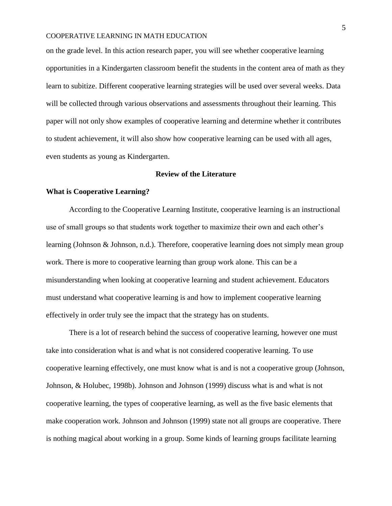on the grade level. In this action research paper, you will see whether cooperative learning opportunities in a Kindergarten classroom benefit the students in the content area of math as they learn to subitize. Different cooperative learning strategies will be used over several weeks. Data will be collected through various observations and assessments throughout their learning. This paper will not only show examples of cooperative learning and determine whether it contributes to student achievement, it will also show how cooperative learning can be used with all ages, even students as young as Kindergarten.

#### **Review of the Literature**

#### <span id="page-5-0"></span>**What is Cooperative Learning?**

According to the Cooperative Learning Institute, cooperative learning is an instructional use of small groups so that students work together to maximize their own and each other's learning (Johnson & Johnson, n.d.). Therefore, cooperative learning does not simply mean group work. There is more to cooperative learning than group work alone. This can be a misunderstanding when looking at cooperative learning and student achievement. Educators must understand what cooperative learning is and how to implement cooperative learning effectively in order truly see the impact that the strategy has on students.

There is a lot of research behind the success of cooperative learning, however one must take into consideration what is and what is not considered cooperative learning. To use cooperative learning effectively, one must know what is and is not a cooperative group (Johnson, Johnson, & Holubec, 1998b). Johnson and Johnson (1999) discuss what is and what is not cooperative learning, the types of cooperative learning, as well as the five basic elements that make cooperation work. Johnson and Johnson (1999) state not all groups are cooperative. There is nothing magical about working in a group. Some kinds of learning groups facilitate learning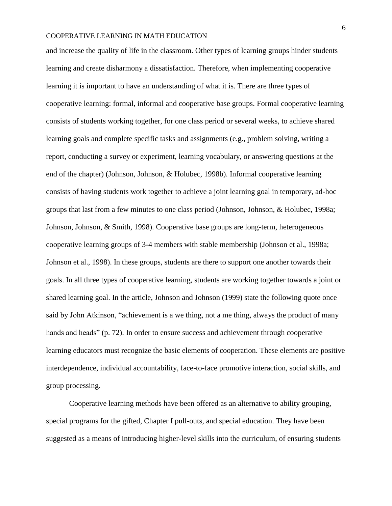and increase the quality of life in the classroom. Other types of learning groups hinder students learning and create disharmony a dissatisfaction. Therefore, when implementing cooperative learning it is important to have an understanding of what it is. There are three types of cooperative learning: formal, informal and cooperative base groups. Formal cooperative learning consists of students working together, for one class period or several weeks, to achieve shared learning goals and complete specific tasks and assignments (e.g., problem solving, writing a report, conducting a survey or experiment, learning vocabulary, or answering questions at the end of the chapter) (Johnson, Johnson, & Holubec, 1998b). Informal cooperative learning consists of having students work together to achieve a joint learning goal in temporary, ad-hoc groups that last from a few minutes to one class period (Johnson, Johnson, & Holubec, 1998a; Johnson, Johnson, & Smith, 1998). Cooperative base groups are long-term, heterogeneous cooperative learning groups of 3-4 members with stable membership (Johnson et al., 1998a; Johnson et al., 1998). In these groups, students are there to support one another towards their goals. In all three types of cooperative learning, students are working together towards a joint or shared learning goal. In the article, Johnson and Johnson (1999) state the following quote once said by John Atkinson, "achievement is a we thing, not a me thing, always the product of many hands and heads" (p. 72). In order to ensure success and achievement through cooperative learning educators must recognize the basic elements of cooperation. These elements are positive interdependence, individual accountability, face-to-face promotive interaction, social skills, and group processing.

Cooperative learning methods have been offered as an alternative to ability grouping, special programs for the gifted, Chapter I pull-outs, and special education. They have been suggested as a means of introducing higher-level skills into the curriculum, of ensuring students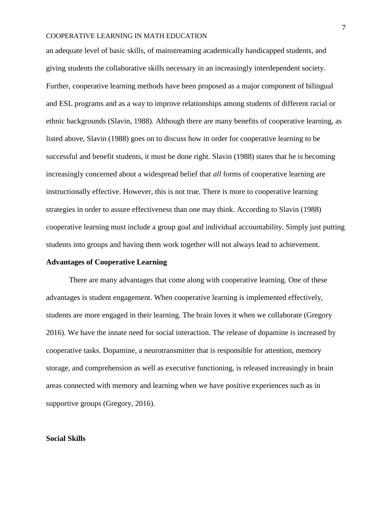an adequate level of basic skills, of mainstreaming academically handicapped students, and giving students the collaborative skills necessary in an increasingly interdependent society. Further, cooperative learning methods have been proposed as a major component of bilingual and ESL programs and as a way to improve relationships among students of different racial or ethnic backgrounds (Slavin, 1988). Although there are many benefits of cooperative learning, as listed above, Slavin (1988) goes on to discuss how in order for cooperative learning to be successful and benefit students, it must be done right. Slavin (1988) states that he is becoming increasingly concerned about a widespread belief that *all* forms of cooperative learning are instructionally effective. However, this is not true. There is more to cooperative learning strategies in order to assure effectiveness than one may think. According to Slavin (1988) cooperative learning must include a group goal and individual accountability. Simply just putting students into groups and having them work together will not always lead to achievement.

#### **Advantages of Cooperative Learning**

There are many advantages that come along with cooperative learning. One of these advantages is student engagement. When cooperative learning is implemented effectively, students are more engaged in their learning. The brain loves it when we collaborate (Gregory 2016). We have the innate need for social interaction. The release of dopamine is increased by cooperative tasks. Dopamine, a neurotransmitter that is responsible for attention, memory storage, and comprehension as well as executive functioning, is released increasingly in brain areas connected with memory and learning when we have positive experiences such as in supportive groups (Gregory, 2016).

#### **Social Skills**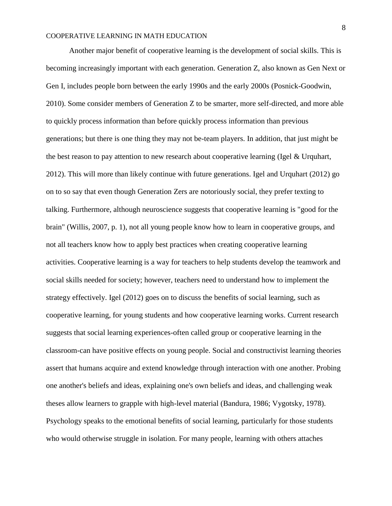Another major benefit of cooperative learning is the development of social skills. This is becoming increasingly important with each generation. Generation Z, also known as Gen Next or Gen I, includes people born between the early 1990s and the early 2000s (Posnick-Goodwin, 2010). Some consider members of Generation Z to be smarter, more self-directed, and more able to quickly process information than before quickly process information than previous generations; but there is one thing they may not be-team players. In addition, that just might be the best reason to pay attention to new research about cooperative learning (Igel & Urquhart, 2012). This will more than likely continue with future generations. Igel and Urquhart (2012) go on to so say that even though Generation Zers are notoriously social, they prefer texting to talking. Furthermore, although neuroscience suggests that cooperative learning is "good for the brain" (Willis, 2007, p. 1), not all young people know how to learn in cooperative groups, and not all teachers know how to apply best practices when creating cooperative learning activities. Cooperative learning is a way for teachers to help students develop the teamwork and social skills needed for society; however, teachers need to understand how to implement the strategy effectively. Igel (2012) goes on to discuss the benefits of social learning, such as cooperative learning, for young students and how cooperative learning works. Current research suggests that social learning experiences-often called group or cooperative learning in the classroom-can have positive effects on young people. Social and constructivist learning theories assert that humans acquire and extend knowledge through interaction with one another. Probing one another's beliefs and ideas, explaining one's own beliefs and ideas, and challenging weak theses allow learners to grapple with high-level material (Bandura, 1986; Vygotsky, 1978). Psychology speaks to the emotional benefits of social learning, particularly for those students who would otherwise struggle in isolation. For many people, learning with others attaches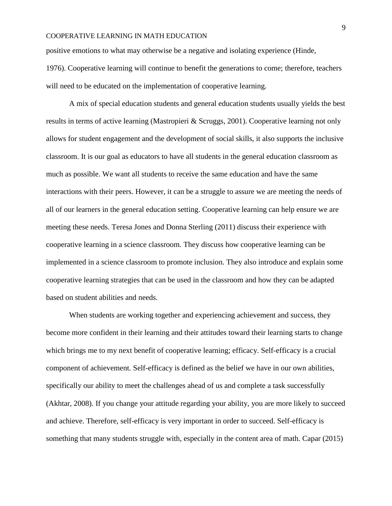positive emotions to what may otherwise be a negative and isolating experience (Hinde,

1976). Cooperative learning will continue to benefit the generations to come; therefore, teachers will need to be educated on the implementation of cooperative learning.

A mix of special education students and general education students usually yields the best results in terms of active learning (Mastropieri & Scruggs, 2001). Cooperative learning not only allows for student engagement and the development of social skills, it also supports the inclusive classroom. It is our goal as educators to have all students in the general education classroom as much as possible. We want all students to receive the same education and have the same interactions with their peers. However, it can be a struggle to assure we are meeting the needs of all of our learners in the general education setting. Cooperative learning can help ensure we are meeting these needs. Teresa Jones and Donna Sterling (2011) discuss their experience with cooperative learning in a science classroom. They discuss how cooperative learning can be implemented in a science classroom to promote inclusion. They also introduce and explain some cooperative learning strategies that can be used in the classroom and how they can be adapted based on student abilities and needs.

When students are working together and experiencing achievement and success, they become more confident in their learning and their attitudes toward their learning starts to change which brings me to my next benefit of cooperative learning; efficacy. Self-efficacy is a crucial component of achievement. Self-efficacy is defined as the belief we have in our own abilities, specifically our ability to meet the challenges ahead of us and complete a task successfully (Akhtar, 2008). If you change your attitude regarding your ability, you are more likely to succeed and achieve. Therefore, self-efficacy is very important in order to succeed. Self-efficacy is something that many students struggle with, especially in the content area of math. Capar (2015)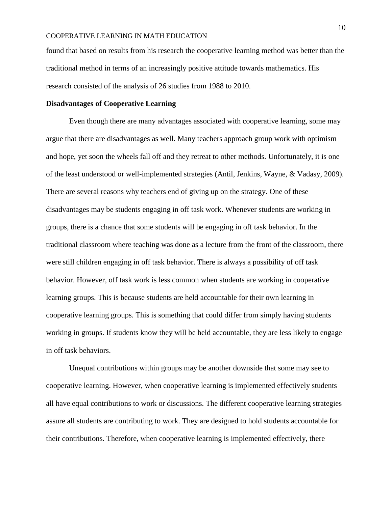found that based on results from his research the cooperative learning method was better than the traditional method in terms of an increasingly positive attitude towards mathematics. His research consisted of the analysis of 26 studies from 1988 to 2010.

## **Disadvantages of Cooperative Learning**

Even though there are many advantages associated with cooperative learning, some may argue that there are disadvantages as well. Many teachers approach group work with optimism and hope, yet soon the wheels fall off and they retreat to other methods. Unfortunately, it is one of the least understood or well-implemented strategies (Antil, Jenkins, Wayne, & Vadasy, 2009). There are several reasons why teachers end of giving up on the strategy. One of these disadvantages may be students engaging in off task work. Whenever students are working in groups, there is a chance that some students will be engaging in off task behavior. In the traditional classroom where teaching was done as a lecture from the front of the classroom, there were still children engaging in off task behavior. There is always a possibility of off task behavior. However, off task work is less common when students are working in cooperative learning groups. This is because students are held accountable for their own learning in cooperative learning groups. This is something that could differ from simply having students working in groups. If students know they will be held accountable, they are less likely to engage in off task behaviors.

Unequal contributions within groups may be another downside that some may see to cooperative learning. However, when cooperative learning is implemented effectively students all have equal contributions to work or discussions. The different cooperative learning strategies assure all students are contributing to work. They are designed to hold students accountable for their contributions. Therefore, when cooperative learning is implemented effectively, there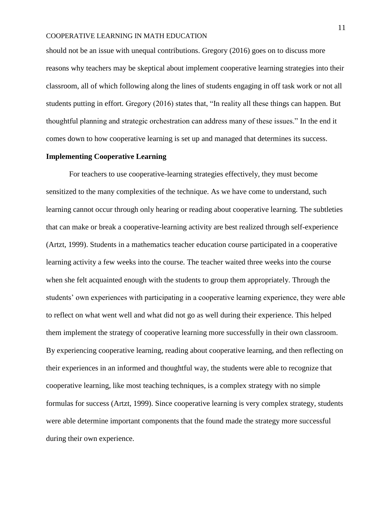should not be an issue with unequal contributions. Gregory (2016) goes on to discuss more reasons why teachers may be skeptical about implement cooperative learning strategies into their classroom, all of which following along the lines of students engaging in off task work or not all students putting in effort. Gregory (2016) states that, "In reality all these things can happen. But thoughtful planning and strategic orchestration can address many of these issues." In the end it comes down to how cooperative learning is set up and managed that determines its success.

#### **Implementing Cooperative Learning**

For teachers to use cooperative-learning strategies effectively, they must become sensitized to the many complexities of the technique. As we have come to understand, such learning cannot occur through only hearing or reading about cooperative learning. The subtleties that can make or break a cooperative-learning activity are best realized through self-experience (Artzt, 1999). Students in a mathematics teacher education course participated in a cooperative learning activity a few weeks into the course. The teacher waited three weeks into the course when she felt acquainted enough with the students to group them appropriately. Through the students' own experiences with participating in a cooperative learning experience, they were able to reflect on what went well and what did not go as well during their experience. This helped them implement the strategy of cooperative learning more successfully in their own classroom. By experiencing cooperative learning, reading about cooperative learning, and then reflecting on their experiences in an informed and thoughtful way, the students were able to recognize that cooperative learning, like most teaching techniques, is a complex strategy with no simple formulas for success (Artzt, 1999). Since cooperative learning is very complex strategy, students were able determine important components that the found made the strategy more successful during their own experience.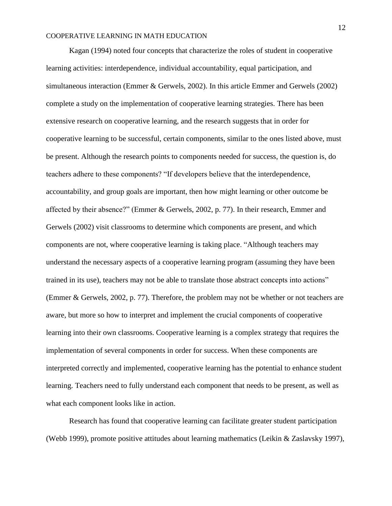Kagan (1994) noted four concepts that characterize the roles of student in cooperative learning activities: interdependence, individual accountability, equal participation, and simultaneous interaction (Emmer & Gerwels, 2002). In this article Emmer and Gerwels (2002) complete a study on the implementation of cooperative learning strategies. There has been extensive research on cooperative learning, and the research suggests that in order for cooperative learning to be successful, certain components, similar to the ones listed above, must be present. Although the research points to components needed for success, the question is, do teachers adhere to these components? "If developers believe that the interdependence, accountability, and group goals are important, then how might learning or other outcome be affected by their absence?" (Emmer & Gerwels, 2002, p. 77). In their research, Emmer and Gerwels (2002) visit classrooms to determine which components are present, and which components are not, where cooperative learning is taking place. "Although teachers may understand the necessary aspects of a cooperative learning program (assuming they have been trained in its use), teachers may not be able to translate those abstract concepts into actions" (Emmer & Gerwels, 2002, p. 77). Therefore, the problem may not be whether or not teachers are aware, but more so how to interpret and implement the crucial components of cooperative learning into their own classrooms. Cooperative learning is a complex strategy that requires the implementation of several components in order for success. When these components are interpreted correctly and implemented, cooperative learning has the potential to enhance student learning. Teachers need to fully understand each component that needs to be present, as well as what each component looks like in action.

Research has found that cooperative learning can facilitate greater student participation (Webb 1999), promote positive attitudes about learning mathematics (Leikin & Zaslavsky 1997),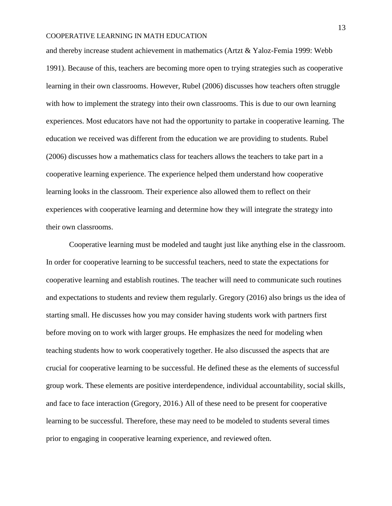and thereby increase student achievement in mathematics (Artzt & Yaloz-Femia 1999: Webb 1991). Because of this, teachers are becoming more open to trying strategies such as cooperative learning in their own classrooms. However, Rubel (2006) discusses how teachers often struggle with how to implement the strategy into their own classrooms. This is due to our own learning experiences. Most educators have not had the opportunity to partake in cooperative learning. The education we received was different from the education we are providing to students. Rubel (2006) discusses how a mathematics class for teachers allows the teachers to take part in a cooperative learning experience. The experience helped them understand how cooperative learning looks in the classroom. Their experience also allowed them to reflect on their experiences with cooperative learning and determine how they will integrate the strategy into their own classrooms.

Cooperative learning must be modeled and taught just like anything else in the classroom. In order for cooperative learning to be successful teachers, need to state the expectations for cooperative learning and establish routines. The teacher will need to communicate such routines and expectations to students and review them regularly. Gregory (2016) also brings us the idea of starting small. He discusses how you may consider having students work with partners first before moving on to work with larger groups. He emphasizes the need for modeling when teaching students how to work cooperatively together. He also discussed the aspects that are crucial for cooperative learning to be successful. He defined these as the elements of successful group work. These elements are positive interdependence, individual accountability, social skills, and face to face interaction (Gregory, 2016.) All of these need to be present for cooperative learning to be successful. Therefore, these may need to be modeled to students several times prior to engaging in cooperative learning experience, and reviewed often.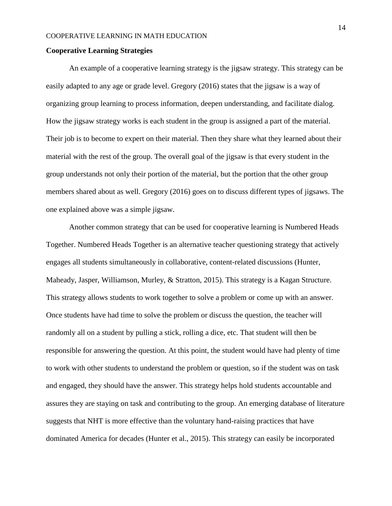#### **Cooperative Learning Strategies**

An example of a cooperative learning strategy is the jigsaw strategy. This strategy can be easily adapted to any age or grade level. Gregory (2016) states that the jigsaw is a way of organizing group learning to process information, deepen understanding, and facilitate dialog. How the jigsaw strategy works is each student in the group is assigned a part of the material. Their job is to become to expert on their material. Then they share what they learned about their material with the rest of the group. The overall goal of the jigsaw is that every student in the group understands not only their portion of the material, but the portion that the other group members shared about as well. Gregory (2016) goes on to discuss different types of jigsaws. The one explained above was a simple jigsaw.

Another common strategy that can be used for cooperative learning is Numbered Heads Together. Numbered Heads Together is an alternative teacher questioning strategy that actively engages all students simultaneously in collaborative, content-related discussions (Hunter, Maheady, Jasper, Williamson, Murley, & Stratton, 2015). This strategy is a Kagan Structure. This strategy allows students to work together to solve a problem or come up with an answer. Once students have had time to solve the problem or discuss the question, the teacher will randomly all on a student by pulling a stick, rolling a dice, etc. That student will then be responsible for answering the question. At this point, the student would have had plenty of time to work with other students to understand the problem or question, so if the student was on task and engaged, they should have the answer. This strategy helps hold students accountable and assures they are staying on task and contributing to the group. An emerging database of literature suggests that NHT is more effective than the voluntary hand-raising practices that have dominated America for decades (Hunter et al., 2015). This strategy can easily be incorporated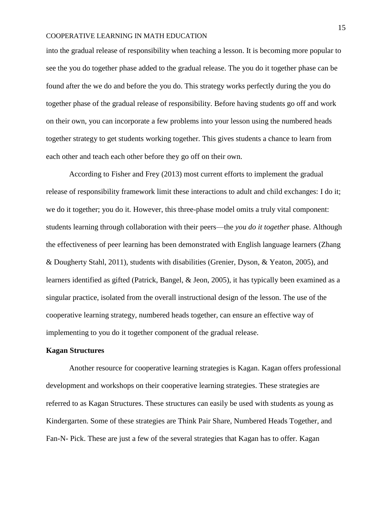into the gradual release of responsibility when teaching a lesson. It is becoming more popular to see the you do together phase added to the gradual release. The you do it together phase can be found after the we do and before the you do. This strategy works perfectly during the you do together phase of the gradual release of responsibility. Before having students go off and work on their own, you can incorporate a few problems into your lesson using the numbered heads together strategy to get students working together. This gives students a chance to learn from each other and teach each other before they go off on their own.

According to Fisher and Frey (2013) most current efforts to implement the gradual release of responsibility framework limit these interactions to adult and child exchanges: I do it; we do it together; you do it*.* However, this three-phase model omits a truly vital component: students learning through collaboration with their peers—the *you do it together* phase. Although the effectiveness of peer learning has been demonstrated with English language learners (Zhang & Dougherty Stahl, 2011), students with disabilities (Grenier, Dyson, & Yeaton, 2005), and learners identified as gifted (Patrick, Bangel, & Jeon, 2005), it has typically been examined as a singular practice, isolated from the overall instructional design of the lesson. The use of the cooperative learning strategy, numbered heads together, can ensure an effective way of implementing to you do it together component of the gradual release.

#### **Kagan Structures**

Another resource for cooperative learning strategies is Kagan. Kagan offers professional development and workshops on their cooperative learning strategies. These strategies are referred to as Kagan Structures. These structures can easily be used with students as young as Kindergarten. Some of these strategies are Think Pair Share, Numbered Heads Together, and Fan-N- Pick. These are just a few of the several strategies that Kagan has to offer. Kagan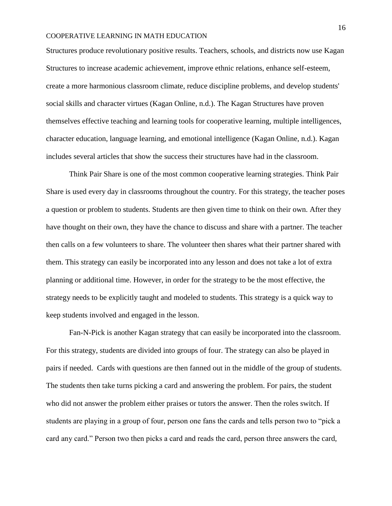Structures produce revolutionary positive results. Teachers, schools, and districts now use Kagan Structures to increase academic achievement, improve ethnic relations, enhance self-esteem, create a more harmonious classroom climate, reduce discipline problems, and develop students' social skills and character virtues (Kagan Online, n.d.). The Kagan Structures have proven themselves effective teaching and learning tools for cooperative learning, multiple intelligences, character education, language learning, and emotional intelligence (Kagan Online, n.d.). Kagan includes several articles that show the success their structures have had in the classroom.

Think Pair Share is one of the most common cooperative learning strategies. Think Pair Share is used every day in classrooms throughout the country. For this strategy, the teacher poses a question or problem to students. Students are then given time to think on their own. After they have thought on their own, they have the chance to discuss and share with a partner. The teacher then calls on a few volunteers to share. The volunteer then shares what their partner shared with them. This strategy can easily be incorporated into any lesson and does not take a lot of extra planning or additional time. However, in order for the strategy to be the most effective, the strategy needs to be explicitly taught and modeled to students. This strategy is a quick way to keep students involved and engaged in the lesson.

Fan-N-Pick is another Kagan strategy that can easily be incorporated into the classroom. For this strategy, students are divided into groups of four. The strategy can also be played in pairs if needed. Cards with questions are then fanned out in the middle of the group of students. The students then take turns picking a card and answering the problem. For pairs, the student who did not answer the problem either praises or tutors the answer. Then the roles switch. If students are playing in a group of four, person one fans the cards and tells person two to "pick a card any card." Person two then picks a card and reads the card, person three answers the card,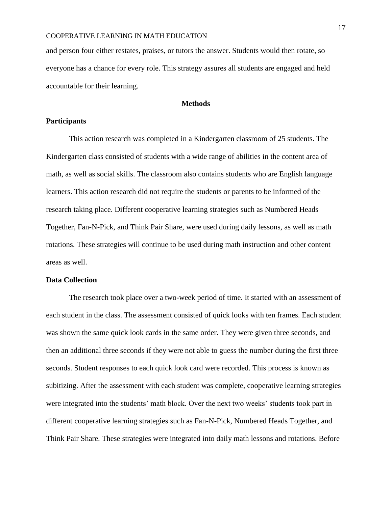and person four either restates, praises, or tutors the answer. Students would then rotate, so everyone has a chance for every role. This strategy assures all students are engaged and held accountable for their learning.

## **Methods**

## **Participants**

This action research was completed in a Kindergarten classroom of 25 students. The Kindergarten class consisted of students with a wide range of abilities in the content area of math, as well as social skills. The classroom also contains students who are English language learners. This action research did not require the students or parents to be informed of the research taking place. Different cooperative learning strategies such as Numbered Heads Together, Fan-N-Pick, and Think Pair Share, were used during daily lessons, as well as math rotations. These strategies will continue to be used during math instruction and other content areas as well.

#### **Data Collection**

The research took place over a two-week period of time. It started with an assessment of each student in the class. The assessment consisted of quick looks with ten frames. Each student was shown the same quick look cards in the same order. They were given three seconds, and then an additional three seconds if they were not able to guess the number during the first three seconds. Student responses to each quick look card were recorded. This process is known as subitizing. After the assessment with each student was complete, cooperative learning strategies were integrated into the students' math block. Over the next two weeks' students took part in different cooperative learning strategies such as Fan-N-Pick, Numbered Heads Together, and Think Pair Share. These strategies were integrated into daily math lessons and rotations. Before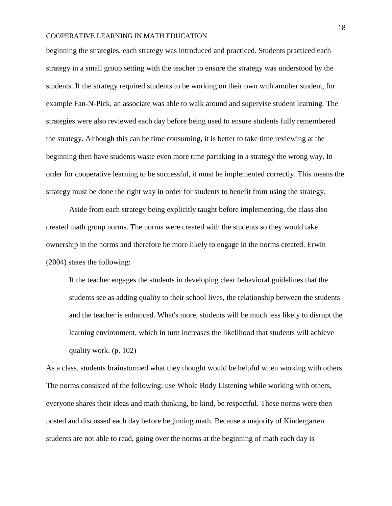beginning the strategies, each strategy was introduced and practiced. Students practiced each strategy in a small group setting with the teacher to ensure the strategy was understood by the students. If the strategy required students to be working on their own with another student, for example Fan-N-Pick, an associate was able to walk around and supervise student learning. The strategies were also reviewed each day before being used to ensure students fully remembered the strategy. Although this can be time consuming, it is better to take time reviewing at the beginning then have students waste even more time partaking in a strategy the wrong way. In order for cooperative learning to be successful, it must be implemented correctly. This means the strategy must be done the right way in order for students to benefit from using the strategy.

Aside from each strategy being explicitly taught before implementing, the class also created math group norms. The norms were created with the students so they would take ownership in the norms and therefore be more likely to engage in the norms created. Erwin (2004) states the following:

If the teacher engages the students in developing clear behavioral guidelines that the students see as adding quality to their school lives, the relationship between the students and the teacher is enhanced. What's more, students will be much less likely to disrupt the learning environment, which in turn increases the likelihood that students will achieve quality work. (p. 102)

As a class, students brainstormed what they thought would be helpful when working with others. The norms consisted of the following: use Whole Body Listening while working with others, everyone shares their ideas and math thinking, be kind, be respectful. These norms were then posted and discussed each day before beginning math. Because a majority of Kindergarten students are not able to read, going over the norms at the beginning of math each day is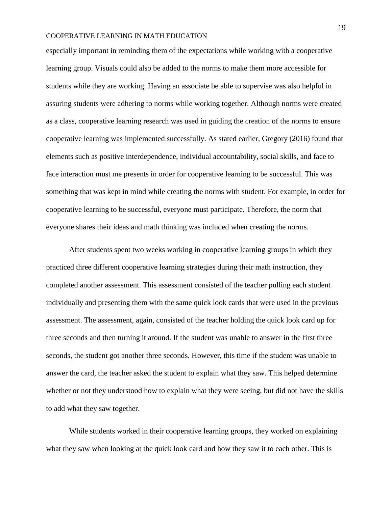especially important in reminding them of the expectations while working with a cooperative learning group. Visuals could also be added to the norms to make them more accessible for students while they are working. Having an associate be able to supervise was also helpful in assuring students were adhering to norms while working together. Although norms were created as a class, cooperative learning research was used in guiding the creation of the norms to ensure cooperative learning was implemented successfully. As stated earlier, Gregory (2016) found that elements such as positive interdependence, individual accountability, social skills, and face to face interaction must me presents in order for cooperative learning to be successful. This was something that was kept in mind while creating the norms with student. For example, in order for cooperative learning to be successful, everyone must participate. Therefore, the norm that everyone shares their ideas and math thinking was included when creating the norms.

After students spent two weeks working in cooperative learning groups in which they practiced three different cooperative learning strategies during their math instruction, they completed another assessment. This assessment consisted of the teacher pulling each student individually and presenting them with the same quick look cards that were used in the previous assessment. The assessment, again, consisted of the teacher holding the quick look card up for three seconds and then turning it around. If the student was unable to answer in the first three seconds, the student got another three seconds. However, this time if the student was unable to answer the card, the teacher asked the student to explain what they saw. This helped determine whether or not they understood how to explain what they were seeing, but did not have the skills to add what they saw together.

While students worked in their cooperative learning groups, they worked on explaining what they saw when looking at the quick look card and how they saw it to each other. This is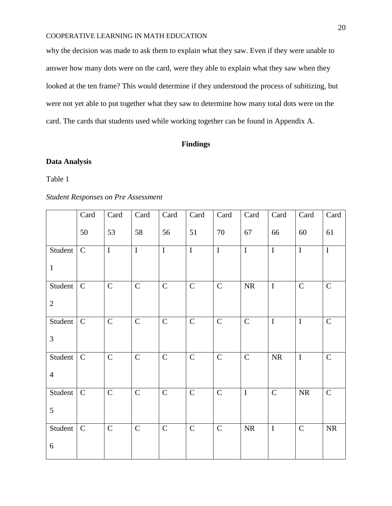why the decision was made to ask them to explain what they saw. Even if they were unable to answer how many dots were on the card, were they able to explain what they saw when they looked at the ten frame? This would determine if they understood the process of subitizing, but were not yet able to put together what they saw to determine how many total dots were on the card. The cards that students used while working together can be found in Appendix A.

## **Findings**

## **Data Analysis**

Table 1

## *Student Responses on Pre Assessment*

|                           | Card          | Card           | Card        | Card           | Card         | Card           | Card        | Card        | Card           | Card        |
|---------------------------|---------------|----------------|-------------|----------------|--------------|----------------|-------------|-------------|----------------|-------------|
|                           | 50            | 53             | 58          | 56             | 51           | 70             | 67          | 66          | 60             | 61          |
| Student<br>$\mathbf{1}$   | $\mathbf C$   | $\rm I$        | $\mathbf I$ | $\mathbf I$    | $\mathbf I$  | $\overline{I}$ | $\rm I$     | $\mathbf I$ | $\rm I$        | $\mathbf I$ |
| Student<br>$\overline{2}$ | $\mathbf C$   | $\mathbf C$    | $\mathbf C$ | ${\bf C}$      | $\mathbf C$  | $\mathbf C$    | <b>NR</b>   | $\mathbf I$ | ${\bf C}$      | $\mathbf C$ |
| Student<br>$\overline{3}$ | $\mathcal{C}$ | $\mathbf C$    | $\mathbf C$ | ${\bf C}$      | $\mathbf C$  | $\mathbf C$    | $\mathbf C$ | $\mathbf I$ | $\mathbf I$    | $\mathbf C$ |
| Student<br>$\overline{4}$ | $\mathsf{C}$  | $\overline{C}$ | $\mathbf C$ | $\overline{C}$ | $\mathbf C$  | $\mathbf C$    | $\mathbf C$ | <b>NR</b>   | $\overline{I}$ | $\mathbf C$ |
| Student<br>5              | $\mathsf{C}$  | $\mathbf C$    | $\mathbf C$ | $\mathbf C$    | $\mathsf{C}$ | $\mathbf C$    | $\mathbf I$ | $\mathbf C$ | <b>NR</b>      | $\mathbf C$ |
| Student<br>6              | $\mathbf C$   | $\mathbf C$    | $\mathbf C$ | $\mathbf C$    | $\mathbf C$  | $\mathbf C$    | <b>NR</b>   | $\mathbf I$ | $\mathbf C$    | <b>NR</b>   |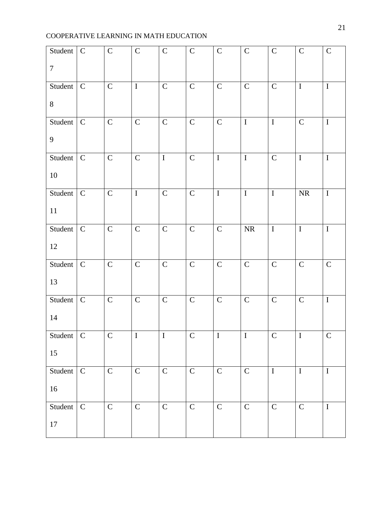| Student $\vert$ C<br>$\tau$ |              | $\mathbf C$    | ${\bf C}$               | $\mathbf C$    | $\mathbf C$    | $\mathbf C$    | $\mathbf C$             | $\mathbf C$    | $\mathbf C$             | $\mathbf C$    |
|-----------------------------|--------------|----------------|-------------------------|----------------|----------------|----------------|-------------------------|----------------|-------------------------|----------------|
| Student<br>$8\,$            | ${\bf C}$    | $\overline{C}$ | $\overline{I}$          | $\mathsf{C}$   | ${\bf C}$      | $\mathbf C$    | $\mathbf C$             | $\mathbf C$    | $\overline{I}$          | $\bf I$        |
| Student<br>9                | $\mathsf{C}$ | ${\bf C}$      | $\mathbf C$             | $\mathbf C$    | $\mathbf C$    | $\mathbf C$    | $\bf I$                 | $\bf I$        | ${\bf C}$               | $\bf I$        |
| Student<br>$10\,$           | $\mathbf C$  | $\mathbf C$    | $\mathbf C$             | $\bf I$        | $\mathbf C$    | $\rm I$        | $\bf I$                 | ${\bf C}$      | $\mathbf I$             | $\;$ I         |
| Student<br>11               | $\mathbf C$  | $\overline{C}$ | $\overline{I}$          | $\mathbf C$    | $\mathbf C$    | $\overline{I}$ | $\overline{I}$          | $\rm I$        | $\rm NR$                | $\rm I$        |
| Student<br>12               | $\mathbf C$  | $\mathbf C$    | ${\bf C}$               | $\mathbf C$    | ${\bf C}$      | $\mathbf C$    | ${\sf NR}$              | $\bf I$        | $\mathbf I$             | $\rm I$        |
| Student<br>13               | $\mathbf C$  | $\mathbf C$    | ${\bf C}$               | $\mathbf C$    | $\mathbf C$    | $\mathbf C$    | $\mathbf C$             | $\mathbf C$    | $\mathbf C$             | $\mathsf{C}$   |
| Student<br>$14$             | $\mathbf C$  | $\overline{C}$ | ${\bf C}$               | $\mathbf C$    | $\mathbf C$    | $\mathsf{C}$   | $\mathbf C$             | $\mathbf C$    | $\mathbf C$             | $\;$ I         |
| Student C<br>15             |              | $\overline{C}$ | $\overline{\mathrm{I}}$ | $\overline{I}$ | $\overline{C}$ | $\boxed{I}$    | $\overline{\mathrm{I}}$ | $\overline{C}$ | $\overline{\mathrm{I}}$ | $\overline{C}$ |
| Student<br>16               | $\mathbf C$  | $\mathbf C$    | $\mathsf{C}$            | $\mathbf C$    | $\mathsf C$    | $\mathbf C$    | $\mathbf C$             | $\bf I$        | $\bf I$                 | $\bf I$        |
| Student<br>$17\,$           | $\mathbf C$  | $\mathbf C$    | ${\bf C}$               | ${\bf C}$      | $\mathbf C$    | $\mathbf C$    | $\mathbf C$             | $\mathbf C$    | ${\bf C}$               | $\bf I$        |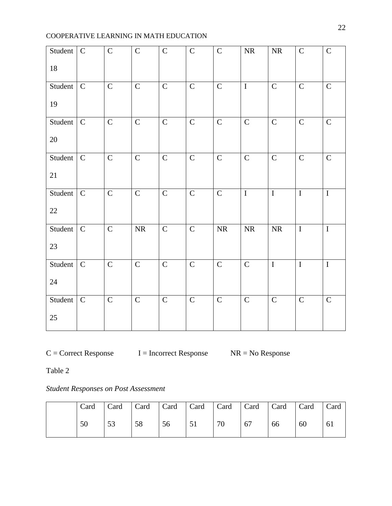| Student<br>$18\,$ | ${\bf C}$   | $\mathsf C$  | ${\bf C}$      | ${\bf C}$      | ${\bf C}$      | $\mathbf C$  | ${\sf NR}$  | NR             | $\mathbf C$    | $\mathbf C$    |
|-------------------|-------------|--------------|----------------|----------------|----------------|--------------|-------------|----------------|----------------|----------------|
| Student<br>19     | $\mathbf C$ | $\mathbf C$  | $\mathbf C$    | $\mathbf C$    | ${\bf C}$      | ${\bf C}$    | $\bf I$     | ${\bf C}$      | ${\bf C}$      | $\mathsf{C}$   |
| Student<br>20     | $\mathbf C$ | $\mathbf C$  | $\overline{C}$ | $\overline{C}$ | $\overline{C}$ | $\mathbf C$  | $\mathbf C$ | $\overline{C}$ | $\mathbf C$    | $\overline{C}$ |
| Student<br>21     | $\mathbf C$ | $\mathsf{C}$ | ${\bf C}$      | $\mathbf C$    | ${\bf C}$      | $\mathbf C$  | $\mathbf C$ | ${\bf C}$      | ${\bf C}$      | $\mathcal{C}$  |
| Student<br>22     | $\mathbf C$ | $\mathbf C$  | $\mathbf C$    | $\mathbf C$    | ${\bf C}$      | $\mathbf C$  | $\bf I$     | $\bf I$        | $\mathbf I$    | $\bf I$        |
| Student<br>23     | $\mathbf C$ | $\mathbf C$  | $\rm NR$       | $\mathbf C$    | $\mathbf C$    | ${\sf NR}$   | $\rm NR$    | $\rm NR$       | $\mathbf I$    | $\bf I$        |
| Student<br>24     | $\mathbf C$ | $\mathbf C$  | $\overline{C}$ | $\mathbf C$    | ${\bf C}$      | $\mathbf C$  | ${\bf C}$   | $\rm I$        | $\overline{I}$ | $\rm I$        |
| Student<br>25     | $\mathbf C$ | $\mathbf C$  | ${\bf C}$      | $\mathbf C$    | $\mathbf C$    | $\mathsf{C}$ | $\mathbf C$ | ${\bf C}$      | ${\bf C}$      | $\mathsf{C}$   |

 $C =$  Correct Response I = Incorrect Response NR = No Response

Table 2

*Student Responses on Post Assessment*

| Card |     |    |    |    | Card   Card   Card   Card   Card   Card   Card   Card |    |    | Card |
|------|-----|----|----|----|-------------------------------------------------------|----|----|------|
| 50   | 153 | 58 | 56 | 70 | $\vert 67$                                            | 66 | 60 | 61   |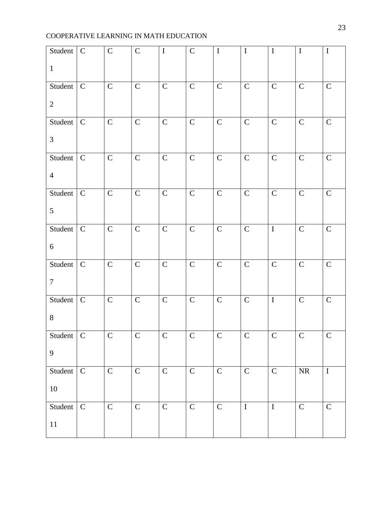| Student<br>$\,1\,$          | $\mathbf C$ | $\mathbf C$    | $\mathbf C$    | $\bf I$     | $\mathbf C$ | $\bf I$      | $\mathbf I$    | $\bf I$        | $\bf I$      | $\mathbf I$ |
|-----------------------------|-------------|----------------|----------------|-------------|-------------|--------------|----------------|----------------|--------------|-------------|
| Student<br>$\overline{c}$   | $\mathsf C$ | ${\bf C}$      | $\mathbf C$    | $\mathbf C$ | $\mathbf C$ | $\mathbf C$  | ${\bf C}$      | $\mathbf C$    | $\mathbf C$  | $\mathbf C$ |
| Student<br>3                | $\mathbf C$ | $\mathbf C$    | $\mathbf C$    | $\mathbf C$ | $\mathbf C$ | ${\bf C}$    | ${\bf C}$      | $\mathbf C$    | $\mathbf C$  | $\mathbf C$ |
| Student<br>$\overline{4}$   | $\mathbf C$ | $\mathbf C$    | ${\bf C}$      | $\mathbf C$ | $\mathbf C$ | $\mathbf C$  | $\mathbf C$    | ${\bf C}$      | $\mathbf C$  | $\mathbf C$ |
| Student<br>5                | $\mathbf C$ | $\mathbf C$    | $\mathbf C$    | $\mathbf C$ | $\mathbf C$ | ${\bf C}$    | $\mathbf C$    | $\mathbf C$    | $\mathbf C$  | $\mathbf C$ |
| Student<br>$\boldsymbol{6}$ | $\mathbf C$ | ${\bf C}$      | $\mathsf C$    | $\mathbf C$ | $\mathbf C$ | ${\bf C}$    | $\mathbf C$    | $\bf I$        | $\mathsf{C}$ | $\mathbf C$ |
| Student<br>$\tau$           | $\mathbf C$ | $\mathbf C$    | $\mathbf C$    | ${\bf C}$   | $\mathbf C$ | $\mathbf C$  | $\mathbf C$    | $\mathbf C$    | $\mathsf{C}$ | $\mathbf C$ |
| Student<br>8                | $\mathbf C$ | ${\bf C}$      | $\mathbf C$    | ${\bf C}$   | $\mathbf C$ | $\mathbf C$  | $\mathbf C$    | $\bf I$        | $\mathbf C$  | $\mathbf C$ |
| Student $\vert$ C<br>9      |             | $\mathsf{C}$   | $\mathbf C$    | $\mathbf C$ | $\mathbf C$ | $\mathsf{C}$ | $\mathbf C$    | $\mathbf C$    | $\mathbf C$  | $\mathbf C$ |
| Student<br>$10\,$           | ${\bf C}$   | ${\bf C}$      | $\mathbf C$    | $\mathsf C$ | ${\bf C}$   | $\mathbf C$  | $\mathbf C$    | $\mathbf C$    | ${\sf NR}$   | $\bf I$     |
| Student<br>$11\,$           | ${\bf C}$   | $\overline{C}$ | $\overline{C}$ | $\mathbf C$ | $\mathbf C$ | ${\bf C}$    | $\overline{I}$ | $\overline{I}$ | $\mathbf C$  | $\mathbf C$ |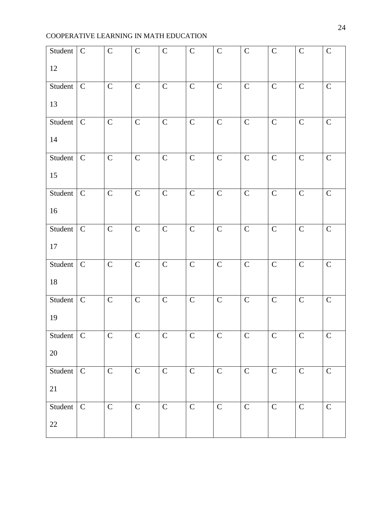| Student<br>12       | $\mathbf C$   | $\mathbf C$    | ${\bf C}$      | $\mathbf C$ | $\mathbf C$    | $\mathbf C$    | $\mathbf C$    | $\mathbf C$    | $\mathbf C$    | $\mathbf C$  |
|---------------------|---------------|----------------|----------------|-------------|----------------|----------------|----------------|----------------|----------------|--------------|
| Student<br>13       | ${\bf C}$     | $\mathbf C$    | $\mathbf C$    | $\mathbf C$ | ${\bf C}$      | $\mathbf C$    | $\mathbf C$    | $\mathbf C$    | $\mathbf C$    | $\mathsf{C}$ |
| Student<br>14       | $\mathsf{C}$  | ${\bf C}$      | $\mathbf C$    | $\mathbf C$ | $\mathbf C$    | $\mathbf C$    | $\mathbf C$    | $\mathbf C$    | ${\bf C}$      | $\mathbf C$  |
| Student<br>15       | $\mathbf C$   | $\mathbf C$    | $\mathbf C$    | $\mathbf C$ | $\mathbf C$    | $\mathbf C$    | $\mathbf C$    | $\mathbf C$    | $\mathbf C$    | $\mathbf C$  |
| Student<br>16       | $\mathbf C$   | $\overline{C}$ | $\overline{C}$ | $\mathbf C$ | $\mathbf C$    | $\mathbf C$    | $\mathbf C$    | $\overline{C}$ | $\overline{C}$ | $\mathsf{C}$ |
| Student<br>17       | $\mathbf C$   | $\mathbf C$    | ${\bf C}$      | $\mathbf C$ | ${\bf C}$      | $\mathbf C$    | ${\bf C}$      | $\mathsf{C}$   | $\mathbf C$    | $\mathbf C$  |
| Student<br>$18\,$   | $\mathcal{C}$ | $\mathbf C$    | ${\bf C}$      | $\mathbf C$ | $\mathbf C$    | $\mathbf C$    | $\mathbf C$    | $\mathbf C$    | $\mathbf C$    | $\mathbf C$  |
| Student<br>19       | $\mathbf C$   | $\mathbf C$    | $\mathbf C$    | $\mathbf C$ | $\mathbf C$    | $\mathsf{C}$   | $\mathbf C$    | $\mathbf C$    | ${\bf C}$      | $\mathsf{C}$ |
| Student C<br>$20\,$ |               | $\overline{C}$ | $\overline{C}$ | $\mathbf C$ | $\overline{C}$ | $\overline{C}$ | $\overline{C}$ | $\overline{C}$ | $\overline{C}$ | $\mathbf C$  |
| Student<br>21       | $\mathbf C$   | ${\bf C}$      | $\mathsf{C}$   | $\mathbf C$ | ${\bf C}$      | $\mathbf C$    | $\mathbf C$    | ${\bf C}$      | ${\bf C}$      | $\mathsf{C}$ |
| Student<br>22       | $\mathbf C$   | $\mathbf C$    | ${\bf C}$      | $\mathbf C$ | $\mathbf C$    | $\mathbf C$    | $\mathbf C$    | $\mathbf C$    | $\mathbf C$    | $\mathbf C$  |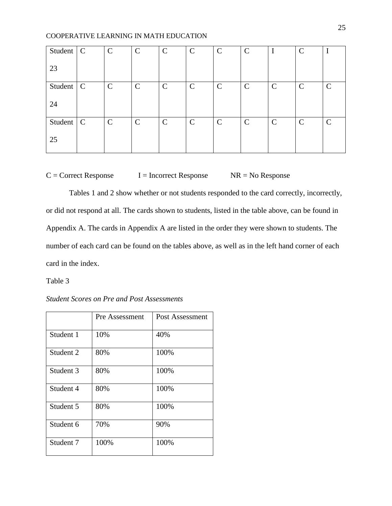| Student $\vert$ C |               | $\mathcal{C}$ | $\mathcal{C}$ | $\mathcal{C}$ | $\mathcal{C}$ | $\mathsf{C}$ | $\mathbf C$   |              | $\mathsf{C}$  |               |
|-------------------|---------------|---------------|---------------|---------------|---------------|--------------|---------------|--------------|---------------|---------------|
| 23                |               |               |               |               |               |              |               |              |               |               |
| Student           | $\mathcal{C}$ | $\mathsf{C}$  | $\mathcal{C}$ | $\mathsf{C}$  | $\mathcal{C}$ | $\mathsf{C}$ | $\mathcal{C}$ | $\mathsf{C}$ | $\mathsf{C}$  | $\mathcal{C}$ |
| 24                |               |               |               |               |               |              |               |              |               |               |
| Student           | $\mathcal{C}$ | $\mathcal{C}$ | $\mathcal{C}$ | $\mathsf{C}$  | $\mathcal{C}$ | $\mathsf{C}$ | $\mathcal{C}$ | $\mathsf{C}$ | $\mathcal{C}$ | $\mathcal{C}$ |
| 25                |               |               |               |               |               |              |               |              |               |               |

| $C =$ Correct Response | $I =$ Incorrect Response | $NR = No$ Response |
|------------------------|--------------------------|--------------------|
|                        |                          |                    |

Tables 1 and 2 show whether or not students responded to the card correctly, incorrectly, or did not respond at all. The cards shown to students, listed in the table above, can be found in Appendix A. The cards in Appendix A are listed in the order they were shown to students. The number of each card can be found on the tables above, as well as in the left hand corner of each card in the index.

## Table 3

*Student Scores on Pre and Post Assessments*

|           | Pre Assessment | Post Assessment |
|-----------|----------------|-----------------|
| Student 1 | 10%            | 40%             |
| Student 2 | 80%            | 100%            |
| Student 3 | 80%            | 100%            |
| Student 4 | 80%            | 100%            |
| Student 5 | 80%            | 100%            |
| Student 6 | 70%            | 90%             |
| Student 7 | 100%           | 100%            |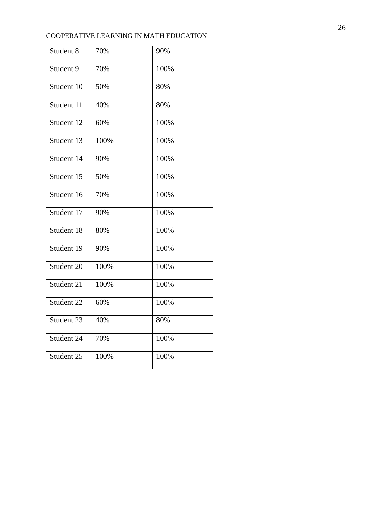| Student 8  | 70%  | 90%  |
|------------|------|------|
| Student 9  | 70%  | 100% |
| Student 10 | 50%  | 80%  |
| Student 11 | 40%  | 80%  |
| Student 12 | 60%  | 100% |
| Student 13 | 100% | 100% |
| Student 14 | 90%  | 100% |
| Student 15 | 50%  | 100% |
| Student 16 | 70%  | 100% |
| Student 17 | 90%  | 100% |
| Student 18 | 80%  | 100% |
| Student 19 | 90%  | 100% |
| Student 20 | 100% | 100% |
| Student 21 | 100% | 100% |
| Student 22 | 60%  | 100% |
| Student 23 | 40%  | 80%  |
| Student 24 | 70%  | 100% |
| Student 25 | 100% | 100% |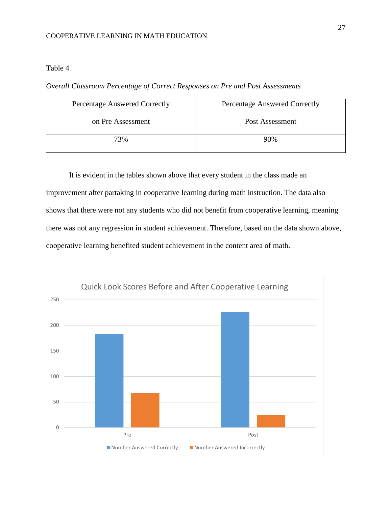## Table 4

## *Overall Classroom Percentage of Correct Responses on Pre and Post Assessments*

| <b>Percentage Answered Correctly</b> | <b>Percentage Answered Correctly</b> |
|--------------------------------------|--------------------------------------|
| on Pre Assessment                    | Post Assessment                      |
| 73%                                  | 90%                                  |

It is evident in the tables shown above that every student in the class made an improvement after partaking in cooperative learning during math instruction. The data also shows that there were not any students who did not benefit from cooperative learning, meaning there was not any regression in student achievement. Therefore, based on the data shown above, cooperative learning benefited student achievement in the content area of math.

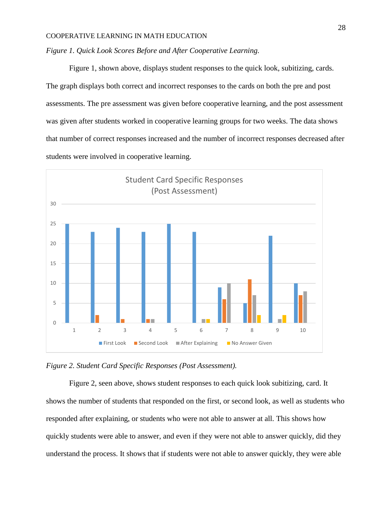## *Figure 1. Quick Look Scores Before and After Cooperative Learning.*

Figure 1, shown above, displays student responses to the quick look, subitizing, cards. The graph displays both correct and incorrect responses to the cards on both the pre and post assessments. The pre assessment was given before cooperative learning, and the post assessment was given after students worked in cooperative learning groups for two weeks. The data shows that number of correct responses increased and the number of incorrect responses decreased after students were involved in cooperative learning.



*Figure 2. Student Card Specific Responses (Post Assessment).*

Figure 2, seen above, shows student responses to each quick look subitizing, card. It shows the number of students that responded on the first, or second look, as well as students who responded after explaining, or students who were not able to answer at all. This shows how quickly students were able to answer, and even if they were not able to answer quickly, did they understand the process. It shows that if students were not able to answer quickly, they were able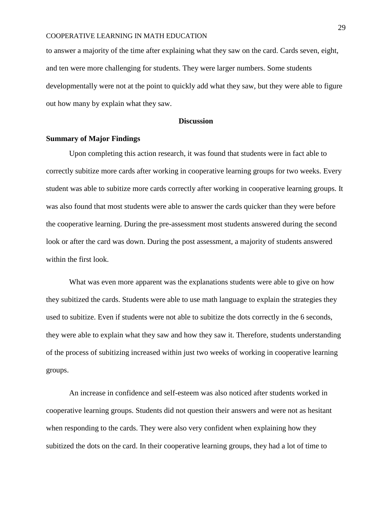to answer a majority of the time after explaining what they saw on the card. Cards seven, eight, and ten were more challenging for students. They were larger numbers. Some students developmentally were not at the point to quickly add what they saw, but they were able to figure out how many by explain what they saw.

#### <span id="page-29-0"></span>**Discussion**

## **Summary of Major Findings**

Upon completing this action research, it was found that students were in fact able to correctly subitize more cards after working in cooperative learning groups for two weeks. Every student was able to subitize more cards correctly after working in cooperative learning groups. It was also found that most students were able to answer the cards quicker than they were before the cooperative learning. During the pre-assessment most students answered during the second look or after the card was down. During the post assessment, a majority of students answered within the first look.

What was even more apparent was the explanations students were able to give on how they subitized the cards. Students were able to use math language to explain the strategies they used to subitize. Even if students were not able to subitize the dots correctly in the 6 seconds, they were able to explain what they saw and how they saw it. Therefore, students understanding of the process of subitizing increased within just two weeks of working in cooperative learning groups.

An increase in confidence and self-esteem was also noticed after students worked in cooperative learning groups. Students did not question their answers and were not as hesitant when responding to the cards. They were also very confident when explaining how they subitized the dots on the card. In their cooperative learning groups, they had a lot of time to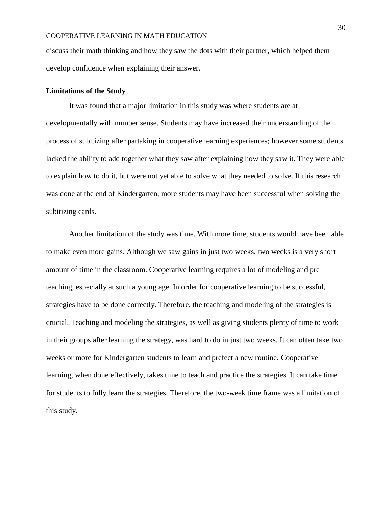discuss their math thinking and how they saw the dots with their partner, which helped them develop confidence when explaining their answer.

#### **Limitations of the Study**

It was found that a major limitation in this study was where students are at developmentally with number sense. Students may have increased their understanding of the process of subitizing after partaking in cooperative learning experiences; however some students lacked the ability to add together what they saw after explaining how they saw it. They were able to explain how to do it, but were not yet able to solve what they needed to solve. If this research was done at the end of Kindergarten, more students may have been successful when solving the subitizing cards.

Another limitation of the study was time. With more time, students would have been able to make even more gains. Although we saw gains in just two weeks, two weeks is a very short amount of time in the classroom. Cooperative learning requires a lot of modeling and pre teaching, especially at such a young age. In order for cooperative learning to be successful, strategies have to be done correctly. Therefore, the teaching and modeling of the strategies is crucial. Teaching and modeling the strategies, as well as giving students plenty of time to work in their groups after learning the strategy, was hard to do in just two weeks. It can often take two weeks or more for Kindergarten students to learn and prefect a new routine. Cooperative learning, when done effectively, takes time to teach and practice the strategies. It can take time for students to fully learn the strategies. Therefore, the two-week time frame was a limitation of this study.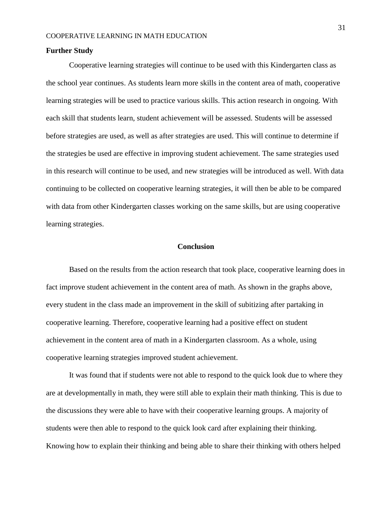#### **Further Study**

Cooperative learning strategies will continue to be used with this Kindergarten class as the school year continues. As students learn more skills in the content area of math, cooperative learning strategies will be used to practice various skills. This action research in ongoing. With each skill that students learn, student achievement will be assessed. Students will be assessed before strategies are used, as well as after strategies are used. This will continue to determine if the strategies be used are effective in improving student achievement. The same strategies used in this research will continue to be used, and new strategies will be introduced as well. With data continuing to be collected on cooperative learning strategies, it will then be able to be compared with data from other Kindergarten classes working on the same skills, but are using cooperative learning strategies.

## **Conclusion**

Based on the results from the action research that took place, cooperative learning does in fact improve student achievement in the content area of math. As shown in the graphs above, every student in the class made an improvement in the skill of subitizing after partaking in cooperative learning. Therefore, cooperative learning had a positive effect on student achievement in the content area of math in a Kindergarten classroom. As a whole, using cooperative learning strategies improved student achievement.

It was found that if students were not able to respond to the quick look due to where they are at developmentally in math, they were still able to explain their math thinking. This is due to the discussions they were able to have with their cooperative learning groups. A majority of students were then able to respond to the quick look card after explaining their thinking. Knowing how to explain their thinking and being able to share their thinking with others helped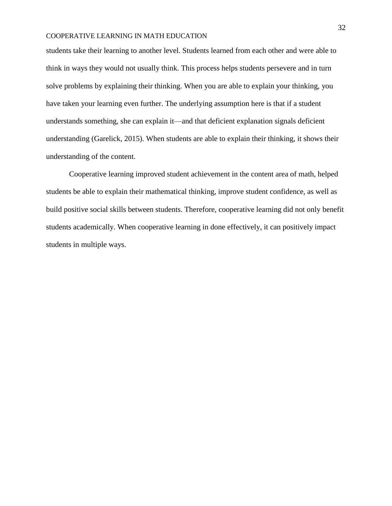students take their learning to another level. Students learned from each other and were able to think in ways they would not usually think. This process helps students persevere and in turn solve problems by explaining their thinking. When you are able to explain your thinking, you have taken your learning even further. The underlying assumption here is that if a student understands something, she can explain it—and that deficient explanation signals deficient understanding (Garelick, 2015). When students are able to explain their thinking, it shows their understanding of the content.

<span id="page-32-0"></span>Cooperative learning improved student achievement in the content area of math, helped students be able to explain their mathematical thinking, improve student confidence, as well as build positive social skills between students. Therefore, cooperative learning did not only benefit students academically. When cooperative learning in done effectively, it can positively impact students in multiple ways.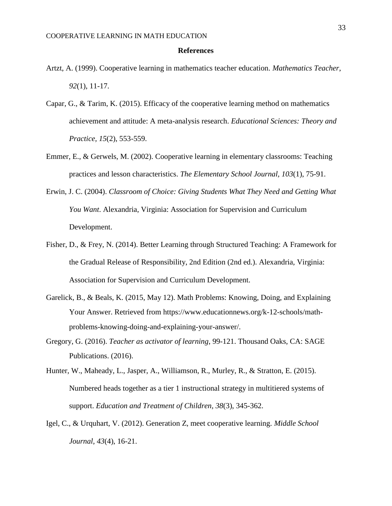#### **References**

- Artzt, A. (1999). Cooperative learning in mathematics teacher education. *Mathematics Teacher*, *92*(1), 11-17.
- Capar, G., & Tarim, K. (2015). Efficacy of the cooperative learning method on mathematics achievement and attitude: A meta-analysis research. *Educational Sciences: Theory and Practice, 15*(2), 553-559.
- Emmer, E., & Gerwels, M. (2002). Cooperative learning in elementary classrooms: Teaching practices and lesson characteristics. *The Elementary School Journal, 103*(1), 75-91.
- Erwin, J. C. (2004). *Classroom of Choice: Giving Students What They Need and Getting What You Want*. Alexandria, Virginia: Association for Supervision and Curriculum Development.
- Fisher, D., & Frey, N. (2014). Better Learning through Structured Teaching: A Framework for the Gradual Release of Responsibility, 2nd Edition (2nd ed.). Alexandria, Virginia: Association for Supervision and Curriculum Development.
- Garelick, B., & Beals, K. (2015, May 12). Math Problems: Knowing, Doing, and Explaining Your Answer. Retrieved from https://www.educationnews.org/k-12-schools/mathproblems-knowing-doing-and-explaining-your-answer/.
- Gregory, G. (2016). *Teacher as activator of learning*, 99-121. Thousand Oaks, CA: SAGE Publications. (2016).
- Hunter, W., Maheady, L., Jasper, A., Williamson, R., Murley, R., & Stratton, E. (2015). Numbered heads together as a tier 1 instructional strategy in multitiered systems of support. *Education and Treatment of Children, 38*(3), 345-362.
- Igel, C., & Urquhart, V. (2012). Generation Z, meet cooperative learning. *Middle School Journal, 43*(4), 16-21.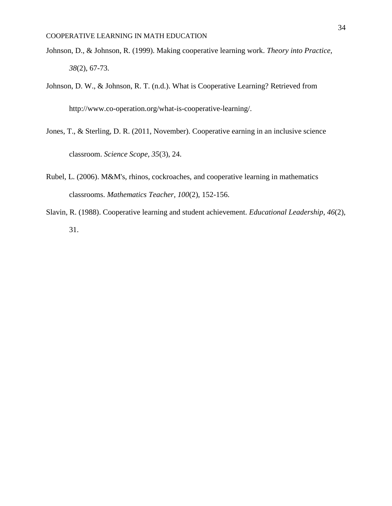- Johnson, D., & Johnson, R. (1999). Making cooperative learning work. *Theory into Practice, 38*(2), 67-73.
- Johnson, D. W., & Johnson, R. T. (n.d.). What is Cooperative Learning? Retrieved from http://www.co-operation.org/what-is-cooperative-learning/.
- Jones, T., & Sterling, D. R. (2011, November). Cooperative earning in an inclusive science classroom. *Science Scope, 35*(3), 24.
- Rubel, L. (2006). M&M's, rhinos, cockroaches, and cooperative learning in mathematics classrooms. *Mathematics Teacher, 100*(2), 152-156.
- Slavin, R. (1988). Cooperative learning and student achievement. *Educational Leadership*, *46*(2), 31.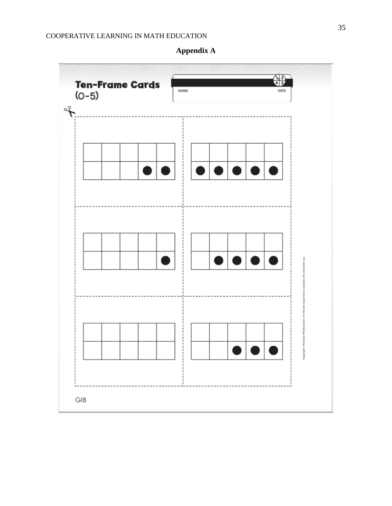

**Appendix A**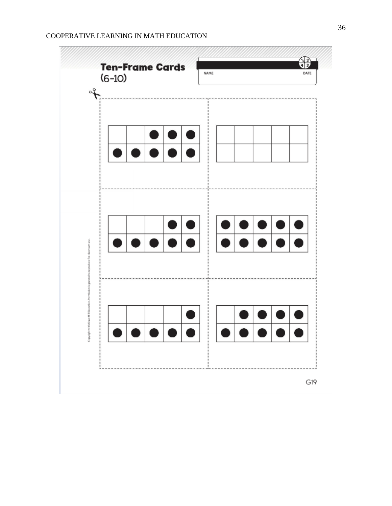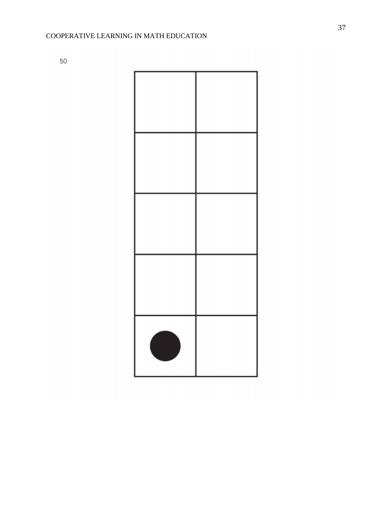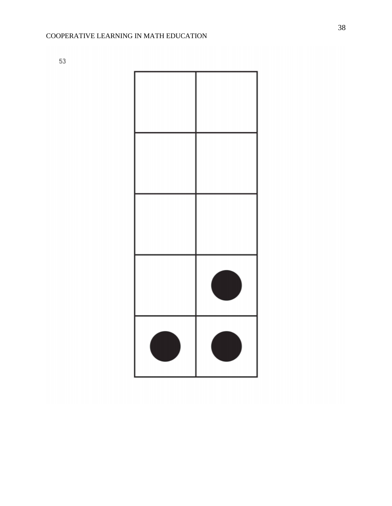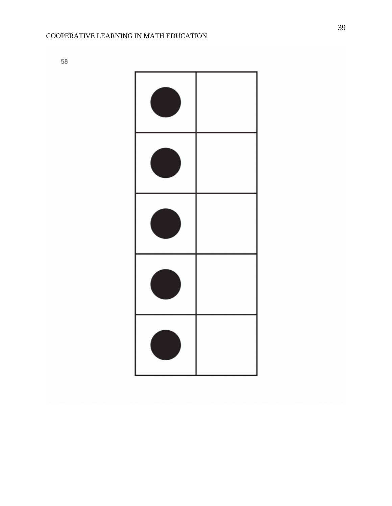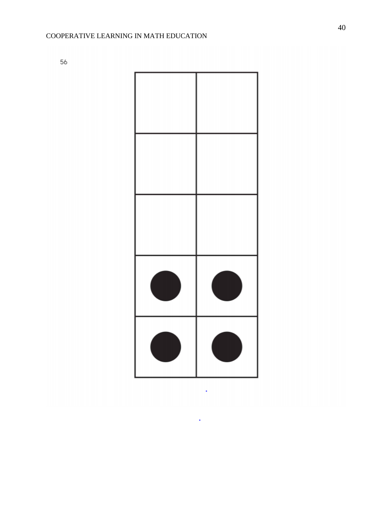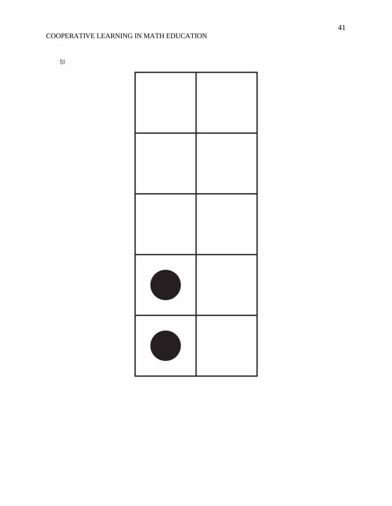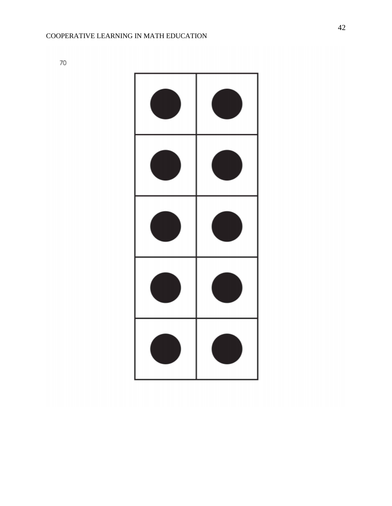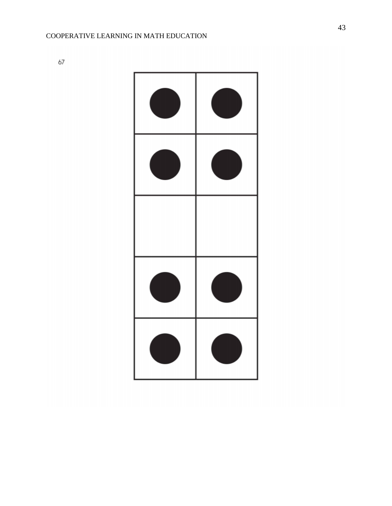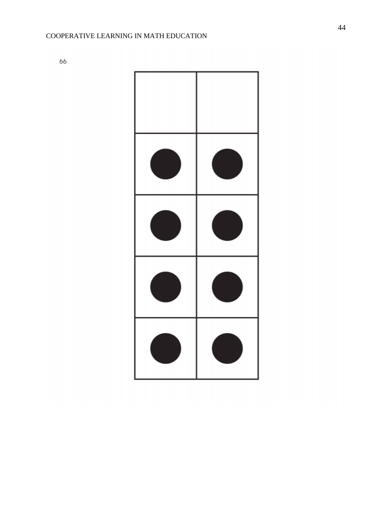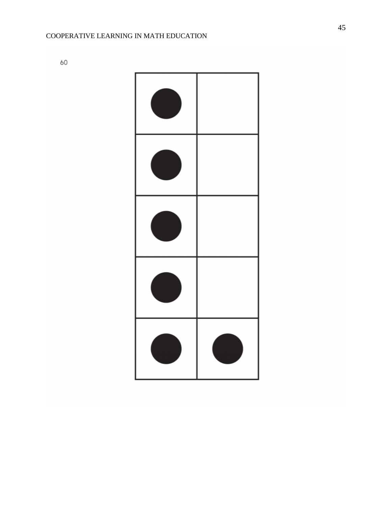